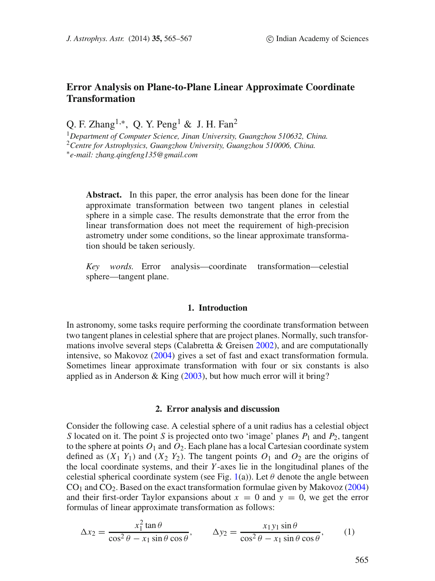# **Error Analysis on Plane-to-Plane Linear Approximate Coordinate Transformation**

Q. F. Zhang<sup>1,\*</sup>, Q. Y. Peng<sup>1</sup> & J. H. Fan<sup>2</sup>

<sup>1</sup>*Department of Computer Science, Jinan University, Guangzhou 510632, China.* <sup>2</sup>*Centre for Astrophysics, Guangzhou University, Guangzhou 510006, China.* ∗*e-mail: zhang.qingfeng135@gmail.com*

Abstract. In this paper, the error analysis has been done for the linear approximate transformation between two tangent planes in celestial sphere in a simple case. The results demonstrate that the error from the linear transformation does not meet the requirement of high-precision astrometry under some conditions, so the linear approximate transformation should be taken seriously.

*Key words.* Error analysis—coordinate transformation—celestial sphere—tangent plane.

## **1. Introduction**

In astronomy, some tasks require performing the coordinate transformation between two tangent planes in celestial sphere that are project planes. Normally, such transformations involve several steps (Calabretta  $&$  Greisen [2002\)](#page-2-0), and are computationally intensive, so Makovoz [\(2004\)](#page-2-1) gives a set of fast and exact transformation formula. Sometimes linear approximate transformation with four or six constants is also applied as in Anderson & King  $(2003)$ , but how much error will it bring?

#### **2. Error analysis and discussion**

Consider the following case. A celestial sphere of a unit radius has a celestial object S located on it. The point S is projected onto two 'image' planes  $P_1$  and  $P_2$ , tangent to the sphere at points  $O_1$  and  $O_2$ . Each plane has a local Cartesian coordinate system defined as  $(X_1 Y_1)$  and  $(X_2 Y_2)$ . The tangent points  $O_1$  and  $O_2$  are the origins of the local coordinate systems, and their Y-axes lie in the longitudinal planes of the celestial spherical coordinate system (see Fig. [1\(](#page-1-0)a)). Let  $\theta$  denote the angle between  $CO<sub>1</sub>$  and  $CO<sub>2</sub>$ . Based on the exact transformation formulae given by Makovoz [\(2004\)](#page-2-1) and their first-order Taylor expansions about  $x = 0$  and  $y = 0$ , we get the error formulas of linear approximate transformation as follows:

$$
\Delta x_2 = \frac{x_1^2 \tan \theta}{\cos^2 \theta - x_1 \sin \theta \cos \theta}, \qquad \Delta y_2 = \frac{x_1 y_1 \sin \theta}{\cos^2 \theta - x_1 \sin \theta \cos \theta}, \qquad (1)
$$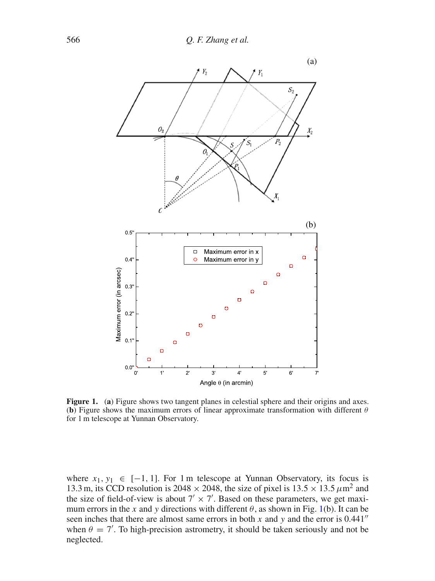<span id="page-1-0"></span>

**Figure 1.** (a) Figure shows two tangent planes in celestial sphere and their origins and axes. (**b**) Figure shows the maximum errors of linear approximate transformation with different  $\theta$ for 1 m telescope at Yunnan Observatory.

where  $x_1, y_1 \in [-1, 1]$ . For 1 m telescope at Yunnan Observatory, its focus is 13.3 m, its CCD resolution is 2048  $\times$  2048, the size of pixel is 13.5  $\times$  13.5  $\mu$ m<sup>2</sup> and the size of field-of-view is about  $7' \times 7'$ . Based on these parameters, we get maximum errors in the x and y directions with different  $\theta$ , as shown in Fig. [1\(](#page-1-0)b). It can be seen inches that there are almost same errors in both  $x$  and  $y$  and the error is 0.441" when  $\theta = 7'$ . To high-precision astrometry, it should be taken seriously and not be neglected.